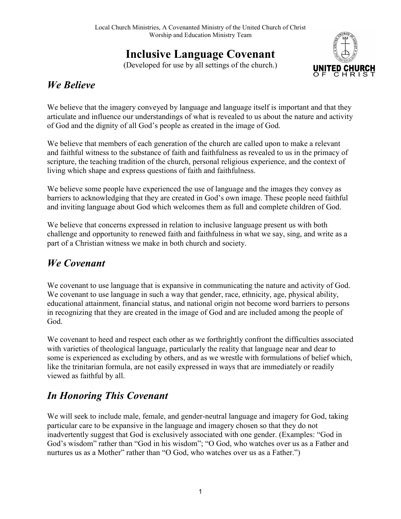## Inclusive Language Covenant

(Developed for use by all settings of the church.)



## We Believe

We believe that the imagery conveyed by language and language itself is important and that they articulate and influence our understandings of what is revealed to us about the nature and activity of God and the dignity of all God's people as created in the image of God.

We believe that members of each generation of the church are called upon to make a relevant and faithful witness to the substance of faith and faithfulness as revealed to us in the primacy of scripture, the teaching tradition of the church, personal religious experience, and the context of living which shape and express questions of faith and faithfulness.

We believe some people have experienced the use of language and the images they convey as barriers to acknowledging that they are created in God's own image. These people need faithful and inviting language about God which welcomes them as full and complete children of God.

We believe that concerns expressed in relation to inclusive language present us with both challenge and opportunity to renewed faith and faithfulness in what we say, sing, and write as a part of a Christian witness we make in both church and society.

## We Covenant

We covenant to use language that is expansive in communicating the nature and activity of God. We covenant to use language in such a way that gender, race, ethnicity, age, physical ability, educational attainment, financial status, and national origin not become word barriers to persons in recognizing that they are created in the image of God and are included among the people of God.

We covenant to heed and respect each other as we forthrightly confront the difficulties associated with varieties of theological language, particularly the reality that language near and dear to some is experienced as excluding by others, and as we wrestle with formulations of belief which, like the trinitarian formula, are not easily expressed in ways that are immediately or readily viewed as faithful by all.

## In Honoring This Covenant

We will seek to include male, female, and gender-neutral language and imagery for God, taking particular care to be expansive in the language and imagery chosen so that they do not inadvertently suggest that God is exclusively associated with one gender. (Examples: "God in God's wisdom" rather than "God in his wisdom"; "O God, who watches over us as a Father and nurtures us as a Mother" rather than "O God, who watches over us as a Father.")